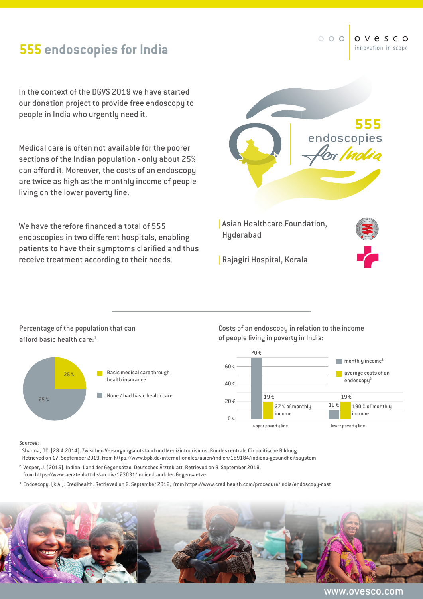## **555 endoscopies for India**

In the context of the DGVS 2019 we have started our donation project to provide free endoscopy to people in India who urgently need it.

Medical care is often not available for the poorer sections of the Indian population - only about 25% can afford it. Moreover, the costs of an endoscopy are twice as high as the monthly income of people living on the lower poverty line.

We have therefore financed a total of 555 endoscopies in two different hospitals, enabling patients to have their symptoms clarified and thus receive treatment according to their needs.



Percentage of the population that can afford basic health care:1



Costs of an endoscopy in relation to the income of people living in poverty in India:



Sources:

- <sup>1</sup> Sharma, DC. (28.4.2014). Zwischen Versorgungsnotstand und Medizintourismus. Bundeszentrale für politische Bildung. Retrieved on 17. September 2019, from https://www.bpb.de/internationales/asien/indien/189184/indiens-gesundheitssystem
- 2 Vesper, J. (2015). Indien: Land der Gegensätze. Deutsches Ärzteblatt. Retrieved on 9. September 2019, from https://www.aerzteblatt.de/archiv/173031/Indien-Land-der-Gegensaetze
- 3 Endoscopy. (k.A.). Credihealth. Retrieved on 9. September 2019, from https://www.credihealth.com/procedure/india/endoscopy-cost



www.ovesco.com

 $000$ o v e s c o innovation in scope